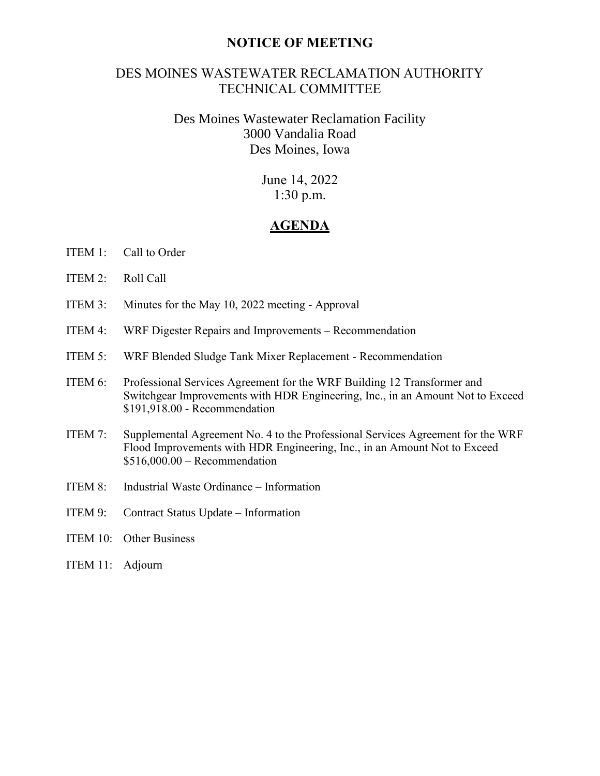## **NOTICE OF MEETING**

# DES MOINES WASTEWATER RECLAMATION AUTHORITY TECHNICAL COMMITTEE

# Des Moines Wastewater Reclamation Facility 3000 Vandalia Road Des Moines, Iowa

June 14, 2022 1:30 p.m.

## **AGENDA**

- ITEM 1: Call to Order
- ITEM 2: Roll Call
- ITEM 3: Minutes for the May 10, 2022 meeting Approval
- ITEM 4: WRF Digester Repairs and Improvements Recommendation
- ITEM 5: WRF Blended Sludge Tank Mixer Replacement Recommendation
- ITEM 6: Professional Services Agreement for the WRF Building 12 Transformer and Switchgear Improvements with HDR Engineering, Inc., in an Amount Not to Exceed \$191,918.00 - Recommendation
- ITEM 7: Supplemental Agreement No. 4 to the Professional Services Agreement for the WRF Flood Improvements with HDR Engineering, Inc., in an Amount Not to Exceed  $$516,000.00 -$  Recommendation
- ITEM 8: Industrial Waste Ordinance Information
- ITEM 9: Contract Status Update Information
- ITEM 10: Other Business
- ITEM 11: Adjourn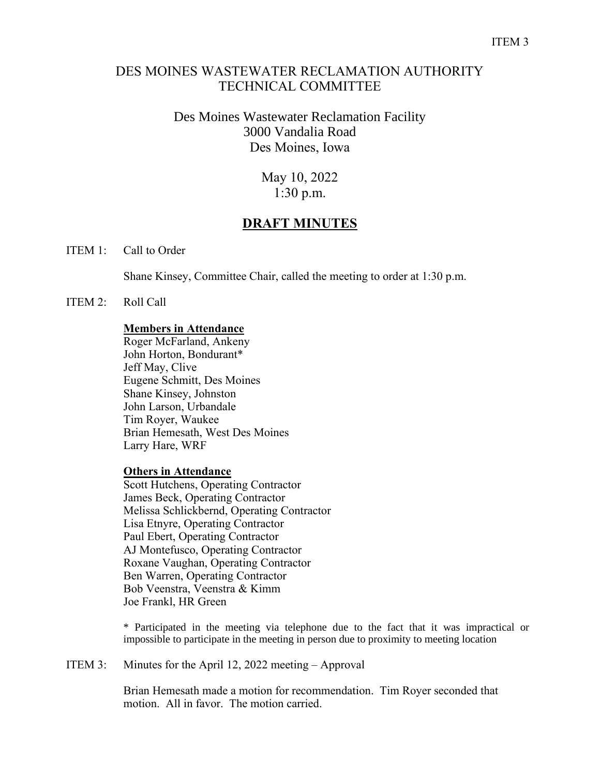## DES MOINES WASTEWATER RECLAMATION AUTHORITY TECHNICAL COMMITTEE

# Des Moines Wastewater Reclamation Facility 3000 Vandalia Road Des Moines, Iowa

May 10, 2022 1:30 p.m.

# **DRAFT MINUTES**

ITEM 1: Call to Order

Shane Kinsey, Committee Chair, called the meeting to order at 1:30 p.m.

ITEM 2: Roll Call

## **Members in Attendance**

Roger McFarland, Ankeny John Horton, Bondurant\* Jeff May, Clive Eugene Schmitt, Des Moines Shane Kinsey, Johnston John Larson, Urbandale Tim Royer, Waukee Brian Hemesath, West Des Moines Larry Hare, WRF

## **Others in Attendance**

Scott Hutchens, Operating Contractor James Beck, Operating Contractor Melissa Schlickbernd, Operating Contractor Lisa Etnyre, Operating Contractor Paul Ebert, Operating Contractor AJ Montefusco, Operating Contractor Roxane Vaughan, Operating Contractor Ben Warren, Operating Contractor Bob Veenstra, Veenstra & Kimm Joe Frankl, HR Green

\* Participated in the meeting via telephone due to the fact that it was impractical or impossible to participate in the meeting in person due to proximity to meeting location

ITEM 3: Minutes for the April 12, 2022 meeting – Approval

Brian Hemesath made a motion for recommendation. Tim Royer seconded that motion. All in favor. The motion carried.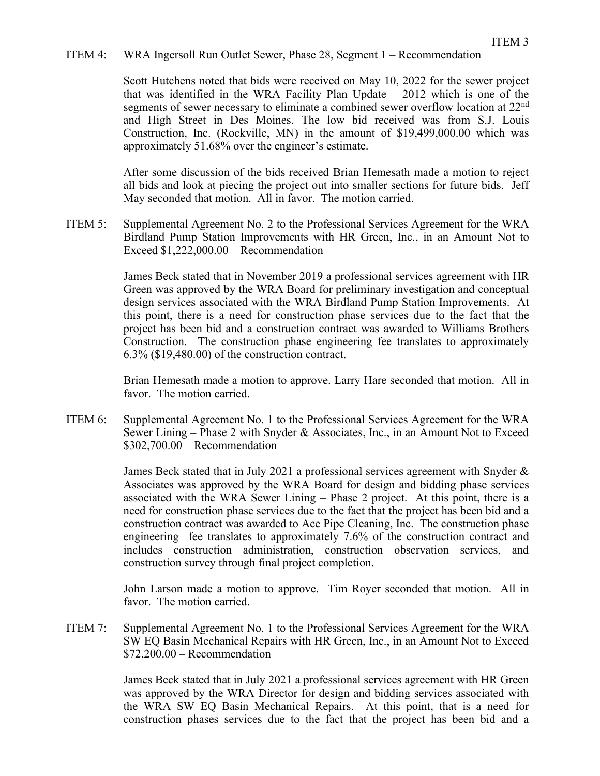## ITEM 4: WRA Ingersoll Run Outlet Sewer, Phase 28, Segment 1 – Recommendation

Scott Hutchens noted that bids were received on May 10, 2022 for the sewer project that was identified in the WRA Facility Plan Update – 2012 which is one of the segments of sewer necessary to eliminate a combined sewer overflow location at 22<sup>nd</sup> and High Street in Des Moines. The low bid received was from S.J. Louis Construction, Inc. (Rockville, MN) in the amount of \$19,499,000.00 which was approximately 51.68% over the engineer's estimate.

After some discussion of the bids received Brian Hemesath made a motion to reject all bids and look at piecing the project out into smaller sections for future bids. Jeff May seconded that motion. All in favor. The motion carried.

ITEM 5: Supplemental Agreement No. 2 to the Professional Services Agreement for the WRA Birdland Pump Station Improvements with HR Green, Inc., in an Amount Not to Exceed \$1,222,000.00 – Recommendation

> James Beck stated that in November 2019 a professional services agreement with HR Green was approved by the WRA Board for preliminary investigation and conceptual design services associated with the WRA Birdland Pump Station Improvements. At this point, there is a need for construction phase services due to the fact that the project has been bid and a construction contract was awarded to Williams Brothers Construction. The construction phase engineering fee translates to approximately 6.3% (\$19,480.00) of the construction contract.

> Brian Hemesath made a motion to approve. Larry Hare seconded that motion. All in favor. The motion carried.

ITEM 6: Supplemental Agreement No. 1 to the Professional Services Agreement for the WRA Sewer Lining – Phase 2 with Snyder & Associates, Inc., in an Amount Not to Exceed \$302,700.00 – Recommendation

> James Beck stated that in July 2021 a professional services agreement with Snyder & Associates was approved by the WRA Board for design and bidding phase services associated with the WRA Sewer Lining – Phase 2 project. At this point, there is a need for construction phase services due to the fact that the project has been bid and a construction contract was awarded to Ace Pipe Cleaning, Inc. The construction phase engineering fee translates to approximately 7.6% of the construction contract and includes construction administration, construction observation services, and construction survey through final project completion.

> John Larson made a motion to approve. Tim Royer seconded that motion. All in favor. The motion carried.

ITEM 7: Supplemental Agreement No. 1 to the Professional Services Agreement for the WRA SW EQ Basin Mechanical Repairs with HR Green, Inc., in an Amount Not to Exceed \$72,200.00 – Recommendation

> James Beck stated that in July 2021 a professional services agreement with HR Green was approved by the WRA Director for design and bidding services associated with the WRA SW EQ Basin Mechanical Repairs. At this point, that is a need for construction phases services due to the fact that the project has been bid and a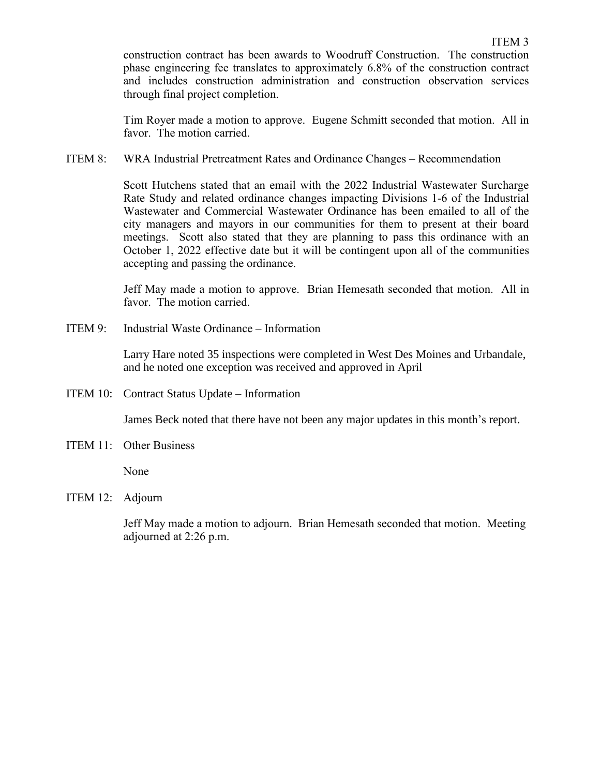construction contract has been awards to Woodruff Construction. The construction phase engineering fee translates to approximately 6.8% of the construction contract and includes construction administration and construction observation services through final project completion.

Tim Royer made a motion to approve. Eugene Schmitt seconded that motion. All in favor. The motion carried.

ITEM 8: WRA Industrial Pretreatment Rates and Ordinance Changes – Recommendation

Scott Hutchens stated that an email with the 2022 Industrial Wastewater Surcharge Rate Study and related ordinance changes impacting Divisions 1-6 of the Industrial Wastewater and Commercial Wastewater Ordinance has been emailed to all of the city managers and mayors in our communities for them to present at their board meetings. Scott also stated that they are planning to pass this ordinance with an October 1, 2022 effective date but it will be contingent upon all of the communities accepting and passing the ordinance.

Jeff May made a motion to approve. Brian Hemesath seconded that motion. All in favor. The motion carried.

ITEM 9: Industrial Waste Ordinance – Information

Larry Hare noted 35 inspections were completed in West Des Moines and Urbandale, and he noted one exception was received and approved in April

ITEM 10: Contract Status Update – Information

James Beck noted that there have not been any major updates in this month's report.

ITEM 11: Other Business

None

ITEM 12: Adjourn

Jeff May made a motion to adjourn. Brian Hemesath seconded that motion. Meeting adjourned at 2:26 p.m.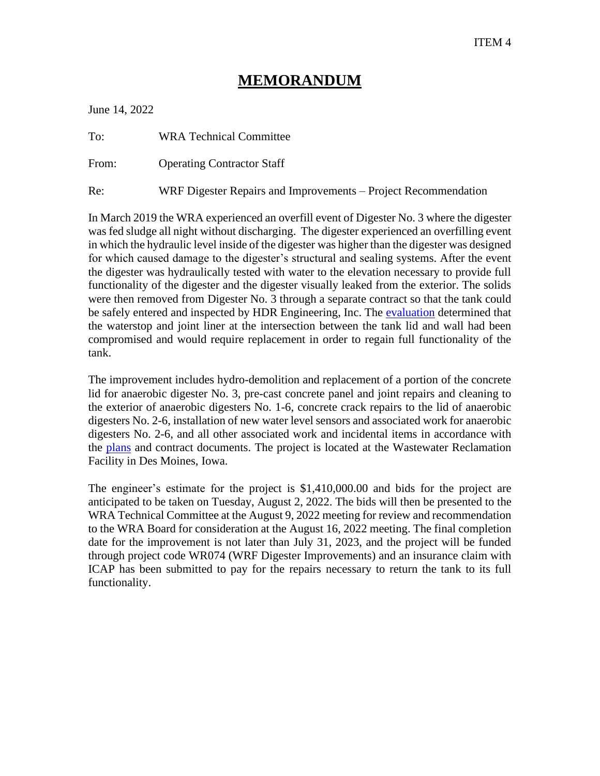June 14, 2022

| To: | <b>WRA Technical Committee</b> |  |
|-----|--------------------------------|--|
|     |                                |  |

From: Operating Contractor Staff

Re: WRF Digester Repairs and Improvements – Project Recommendation

In March 2019 the WRA experienced an overfill event of Digester No. 3 where the digester was fed sludge all night without discharging. The digester experienced an overfilling event in which the hydraulic level inside of the digester was higher than the digester was designed for which caused damage to the digester's structural and sealing systems. After the event the digester was hydraulically tested with water to the elevation necessary to provide full functionality of the digester and the digester visually leaked from the exterior. The solids were then removed from Digester No. 3 through a separate contract so that the tank could be safely entered and inspected by HDR Engineering, Inc. The [evaluation](https://www.dmmwra.org/DocumentCenter/View/822/WRA-Digester-No-3-Structural-Assessment) determined that the waterstop and joint liner at the intersection between the tank lid and wall had been compromised and would require replacement in order to regain full functionality of the tank.

The improvement includes hydro-demolition and replacement of a portion of the concrete lid for anaerobic digester No. 3, pre-cast concrete panel and joint repairs and cleaning to the exterior of anaerobic digesters No. 1-6, concrete crack repairs to the lid of anaerobic digesters No. 2-6, installation of new water level sensors and associated work for anaerobic digesters No. 2-6, and all other associated work and incidental items in accordance with the [plans](https://www.dmmwra.org/DocumentCenter/View/896/WRF-Digester-Repairs-and-Improvements) and contract documents. The project is located at the Wastewater Reclamation Facility in Des Moines, Iowa.

The engineer's estimate for the project is \$1,410,000.00 and bids for the project are anticipated to be taken on Tuesday, August 2, 2022. The bids will then be presented to the WRA Technical Committee at the August 9, 2022 meeting for review and recommendation to the WRA Board for consideration at the August 16, 2022 meeting. The final completion date for the improvement is not later than July 31, 2023, and the project will be funded through project code WR074 (WRF Digester Improvements) and an insurance claim with ICAP has been submitted to pay for the repairs necessary to return the tank to its full functionality.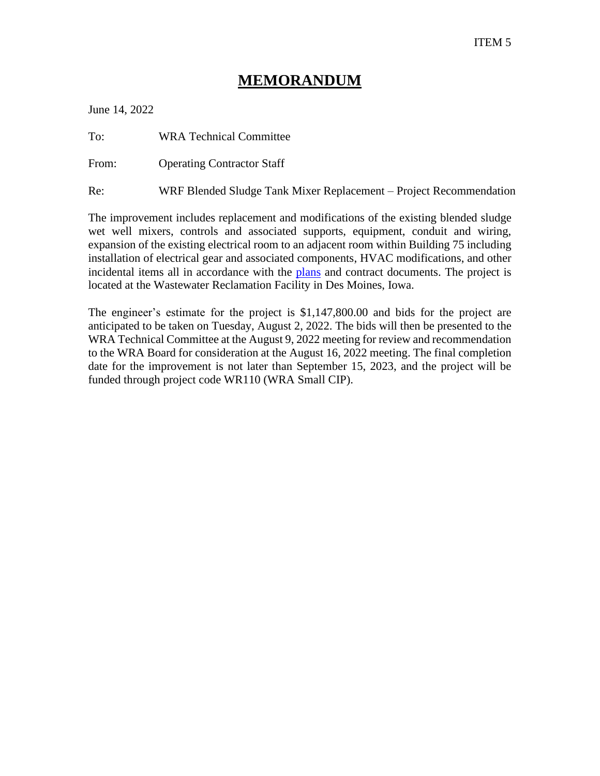June 14, 2022

To: WRA Technical Committee

From: Operating Contractor Staff

Re: WRF Blended Sludge Tank Mixer Replacement – Project Recommendation

The improvement includes replacement and modifications of the existing blended sludge wet well mixers, controls and associated supports, equipment, conduit and wiring, expansion of the existing electrical room to an adjacent room within Building 75 including installation of electrical gear and associated components, HVAC modifications, and other incidental items all in accordance with the [plans](https://www.dmmwra.org/DocumentCenter/View/897/WRF-Blended-Sludge-Tank-Mixer-Replacement) and contract documents. The project is located at the Wastewater Reclamation Facility in Des Moines, Iowa.

The engineer's estimate for the project is \$1,147,800.00 and bids for the project are anticipated to be taken on Tuesday, August 2, 2022. The bids will then be presented to the WRA Technical Committee at the August 9, 2022 meeting for review and recommendation to the WRA Board for consideration at the August 16, 2022 meeting. The final completion date for the improvement is not later than September 15, 2023, and the project will be funded through project code WR110 (WRA Small CIP).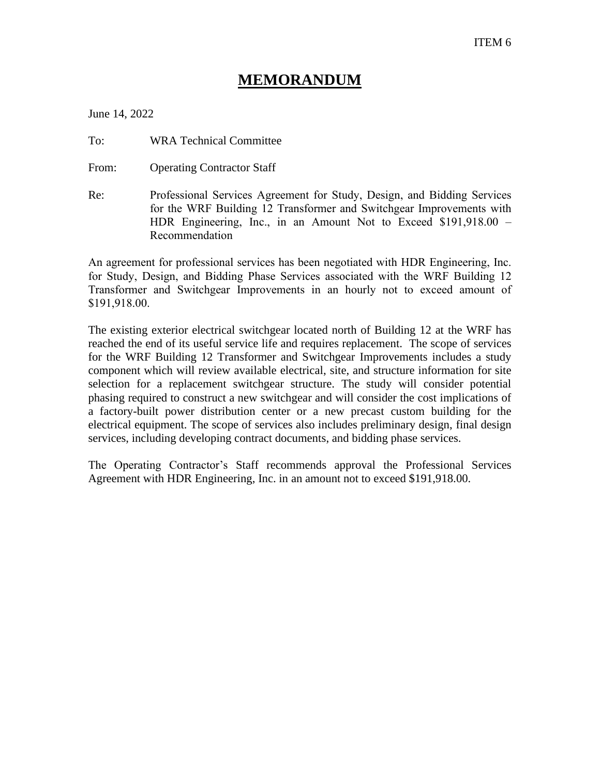June 14, 2022

To: WRA Technical Committee

From: Operating Contractor Staff

Re: Professional Services Agreement for Study, Design, and Bidding Services for the WRF Building 12 Transformer and Switchgear Improvements with HDR Engineering, Inc., in an Amount Not to Exceed \$191,918.00 – Recommendation

An agreement for professional services has been negotiated with HDR Engineering, Inc. for Study, Design, and Bidding Phase Services associated with the WRF Building 12 Transformer and Switchgear Improvements in an hourly not to exceed amount of \$191,918.00.

The existing exterior electrical switchgear located north of Building 12 at the WRF has reached the end of its useful service life and requires replacement. The scope of services for the WRF Building 12 Transformer and Switchgear Improvements includes a study component which will review available electrical, site, and structure information for site selection for a replacement switchgear structure. The study will consider potential phasing required to construct a new switchgear and will consider the cost implications of a factory-built power distribution center or a new precast custom building for the electrical equipment. The scope of services also includes preliminary design, final design services, including developing contract documents, and bidding phase services.

The Operating Contractor's Staff recommends approval the Professional Services Agreement with HDR Engineering, Inc. in an amount not to exceed \$191,918.00.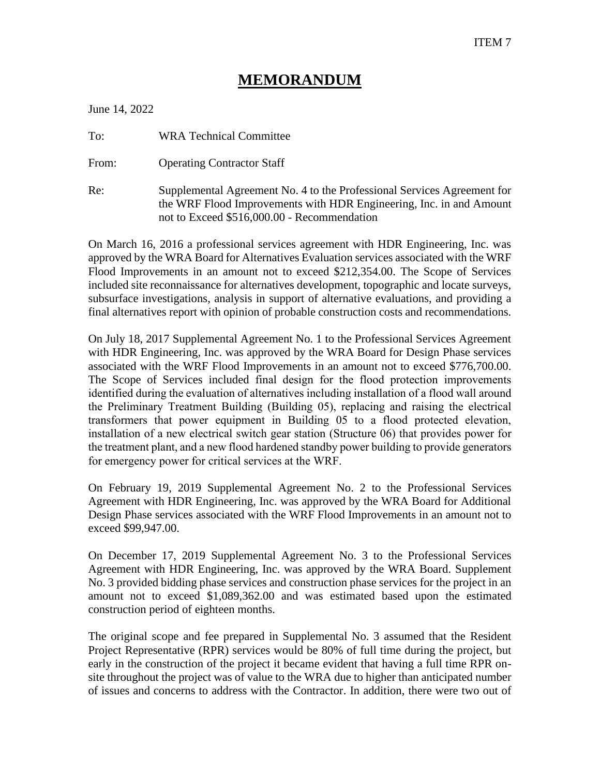June 14, 2022

To: WRA Technical Committee

From: Operating Contractor Staff

Re: Supplemental Agreement No. 4 to the Professional Services Agreement for the WRF Flood Improvements with HDR Engineering, Inc. in and Amount not to Exceed \$516,000.00 - Recommendation

On March 16, 2016 a professional services agreement with HDR Engineering, Inc. was approved by the WRA Board for Alternatives Evaluation services associated with the WRF Flood Improvements in an amount not to exceed \$212,354.00. The Scope of Services included site reconnaissance for alternatives development, topographic and locate surveys, subsurface investigations, analysis in support of alternative evaluations, and providing a final alternatives report with opinion of probable construction costs and recommendations.

On July 18, 2017 Supplemental Agreement No. 1 to the Professional Services Agreement with HDR Engineering, Inc. was approved by the WRA Board for Design Phase services associated with the WRF Flood Improvements in an amount not to exceed \$776,700.00. The Scope of Services included final design for the flood protection improvements identified during the evaluation of alternatives including installation of a flood wall around the Preliminary Treatment Building (Building 05), replacing and raising the electrical transformers that power equipment in Building 05 to a flood protected elevation, installation of a new electrical switch gear station (Structure 06) that provides power for the treatment plant, and a new flood hardened standby power building to provide generators for emergency power for critical services at the WRF.

On February 19, 2019 Supplemental Agreement No. 2 to the Professional Services Agreement with HDR Engineering, Inc. was approved by the WRA Board for Additional Design Phase services associated with the WRF Flood Improvements in an amount not to exceed \$99,947.00.

On December 17, 2019 Supplemental Agreement No. 3 to the Professional Services Agreement with HDR Engineering, Inc. was approved by the WRA Board. Supplement No. 3 provided bidding phase services and construction phase services for the project in an amount not to exceed \$1,089,362.00 and was estimated based upon the estimated construction period of eighteen months.

The original scope and fee prepared in Supplemental No. 3 assumed that the Resident Project Representative (RPR) services would be 80% of full time during the project, but early in the construction of the project it became evident that having a full time RPR onsite throughout the project was of value to the WRA due to higher than anticipated number of issues and concerns to address with the Contractor. In addition, there were two out of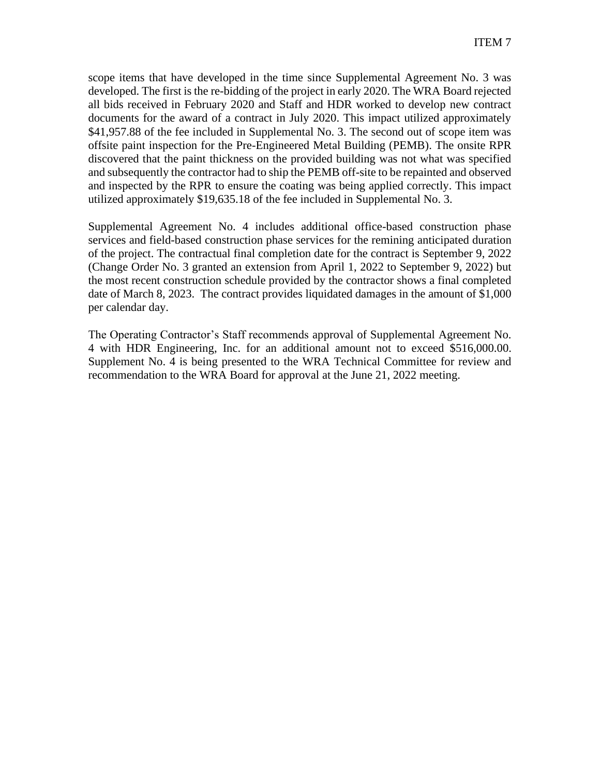scope items that have developed in the time since Supplemental Agreement No. 3 was developed. The first is the re-bidding of the project in early 2020. The WRA Board rejected all bids received in February 2020 and Staff and HDR worked to develop new contract documents for the award of a contract in July 2020. This impact utilized approximately \$41,957.88 of the fee included in Supplemental No. 3. The second out of scope item was offsite paint inspection for the Pre-Engineered Metal Building (PEMB). The onsite RPR discovered that the paint thickness on the provided building was not what was specified and subsequently the contractor had to ship the PEMB off-site to be repainted and observed and inspected by the RPR to ensure the coating was being applied correctly. This impact utilized approximately \$19,635.18 of the fee included in Supplemental No. 3.

Supplemental Agreement No. 4 includes additional office-based construction phase services and field-based construction phase services for the remining anticipated duration of the project. The contractual final completion date for the contract is September 9, 2022 (Change Order No. 3 granted an extension from April 1, 2022 to September 9, 2022) but the most recent construction schedule provided by the contractor shows a final completed date of March 8, 2023. The contract provides liquidated damages in the amount of \$1,000 per calendar day.

The Operating Contractor's Staff recommends approval of Supplemental Agreement No. 4 with HDR Engineering, Inc. for an additional amount not to exceed \$516,000.00. Supplement No. 4 is being presented to the WRA Technical Committee for review and recommendation to the WRA Board for approval at the June 21, 2022 meeting.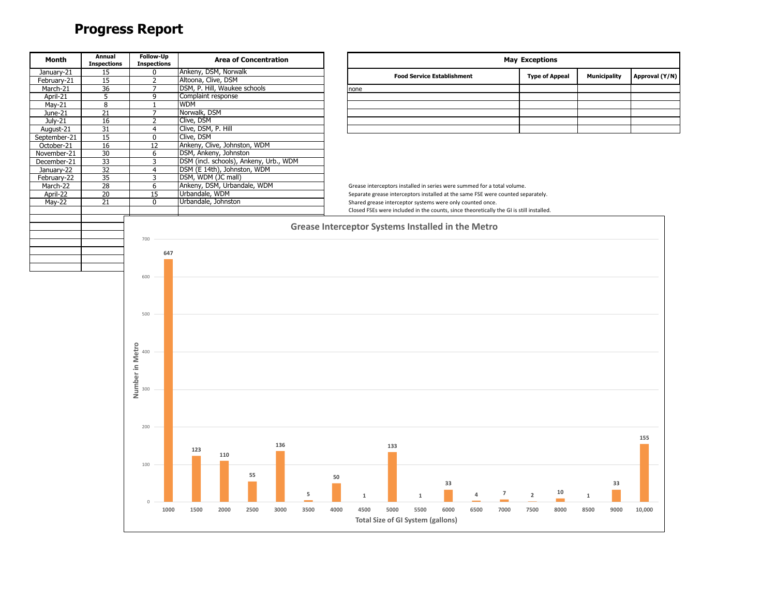# **Progress Report**

| <b>Month</b>  | Annual<br><b>Inspections</b> | Follow-Up<br><b>Inspections</b> |                                        | <b>Area of Concentration</b> |                                                   |      |             |                                          |              |                                                           |                                                                                         | <b>May Exceptions</b> |                       |                     |      |                |
|---------------|------------------------------|---------------------------------|----------------------------------------|------------------------------|---------------------------------------------------|------|-------------|------------------------------------------|--------------|-----------------------------------------------------------|-----------------------------------------------------------------------------------------|-----------------------|-----------------------|---------------------|------|----------------|
| January-21    | 15                           | 0                               | Ankeny, DSM, Norwalk                   |                              |                                                   |      |             |                                          |              | <b>Food Service Establishment</b>                         |                                                                                         |                       | <b>Type of Appeal</b> | <b>Municipality</b> |      | Approval (Y/N) |
| February-21   | 15                           | $\overline{2}$                  | Altoona, Clive, DSM                    |                              |                                                   |      |             |                                          |              |                                                           |                                                                                         |                       |                       |                     |      |                |
| March-21      | 36                           | 7                               | DSM, P. Hill, Waukee schools           |                              |                                                   |      | none        |                                          |              |                                                           |                                                                                         |                       |                       |                     |      |                |
| April-21      | $\overline{5}$               | 9                               | Complaint response                     |                              |                                                   |      |             |                                          |              |                                                           |                                                                                         |                       |                       |                     |      |                |
| $May-21$      | $\overline{8}$               | $\mathbf{1}$                    | <b>WDM</b>                             |                              |                                                   |      |             |                                          |              |                                                           |                                                                                         |                       |                       |                     |      |                |
| June-21       | 21                           | $\overline{7}$                  | Norwalk, DSM                           |                              |                                                   |      |             |                                          |              |                                                           |                                                                                         |                       |                       |                     |      |                |
| July-21       | 16                           | $\overline{2}$                  | Clive, DSM                             |                              |                                                   |      |             |                                          |              |                                                           |                                                                                         |                       |                       |                     |      |                |
| August-21     | 31                           | 4                               | Clive, DSM, P. Hill                    |                              |                                                   |      |             |                                          |              |                                                           |                                                                                         |                       |                       |                     |      |                |
| September-21  | 15                           | $\overline{0}$                  | Clive, DSM                             |                              |                                                   |      |             |                                          |              |                                                           |                                                                                         |                       |                       |                     |      |                |
| October-21    | 16                           | 12                              | Ankeny, Clive, Johnston, WDM           |                              |                                                   |      |             |                                          |              |                                                           |                                                                                         |                       |                       |                     |      |                |
| November-21   | 30                           | 6                               | DSM, Ankeny, Johnston                  |                              |                                                   |      |             |                                          |              |                                                           |                                                                                         |                       |                       |                     |      |                |
| December-21   | 33                           | 3                               | DSM (incl. schools), Ankeny, Urb., WDM |                              |                                                   |      |             |                                          |              |                                                           |                                                                                         |                       |                       |                     |      |                |
| January-22    | 32                           | $\overline{4}$                  | DSM (E 14th), Johnston, WDM            |                              |                                                   |      |             |                                          |              |                                                           |                                                                                         |                       |                       |                     |      |                |
| February-22   | 35                           | 3                               | DSM, WDM (JC mall)                     |                              |                                                   |      |             |                                          |              |                                                           |                                                                                         |                       |                       |                     |      |                |
| March-22      | 28                           | 6                               | Ankeny, DSM, Urbandale, WDM            |                              |                                                   |      |             |                                          |              |                                                           | Grease interceptors installed in series were summed for a total volume.                 |                       |                       |                     |      |                |
| April-22      | $\overline{20}$              | 15                              | Urbandale, WDM                         |                              |                                                   |      |             |                                          |              |                                                           | Separate grease interceptors installed at the same FSE were counted separately.         |                       |                       |                     |      |                |
| <b>May-22</b> | 21                           | $\mathbf 0$                     | Urbandale, Johnston                    |                              |                                                   |      |             |                                          |              | Shared grease interceptor systems were only counted once. |                                                                                         |                       |                       |                     |      |                |
|               |                              |                                 |                                        |                              |                                                   |      |             |                                          |              |                                                           | Closed FSEs were included in the counts, since theoretically the GI is still installed. |                       |                       |                     |      |                |
|               |                              |                                 |                                        |                              | Grease Interceptor Systems Installed in the Metro |      |             |                                          |              |                                                           |                                                                                         |                       |                       |                     |      |                |
|               |                              |                                 |                                        |                              |                                                   |      |             |                                          |              |                                                           |                                                                                         |                       |                       |                     |      |                |
|               |                              | 700                             |                                        |                              |                                                   |      |             |                                          |              |                                                           |                                                                                         |                       |                       |                     |      |                |
|               |                              | 647                             |                                        |                              |                                                   |      |             |                                          |              |                                                           |                                                                                         |                       |                       |                     |      |                |
|               |                              |                                 |                                        |                              |                                                   |      |             |                                          |              |                                                           |                                                                                         |                       |                       |                     |      |                |
|               |                              |                                 |                                        |                              |                                                   |      |             |                                          |              |                                                           |                                                                                         |                       |                       |                     |      |                |
|               |                              | 600                             |                                        |                              |                                                   |      |             |                                          |              |                                                           |                                                                                         |                       |                       |                     |      |                |
|               |                              |                                 |                                        |                              |                                                   |      |             |                                          |              |                                                           |                                                                                         |                       |                       |                     |      |                |
|               |                              |                                 |                                        |                              |                                                   |      |             |                                          |              |                                                           |                                                                                         |                       |                       |                     |      |                |
|               |                              |                                 |                                        |                              |                                                   |      |             |                                          |              |                                                           |                                                                                         |                       |                       |                     |      |                |
|               |                              | 500                             |                                        |                              |                                                   |      |             |                                          |              |                                                           |                                                                                         |                       |                       |                     |      |                |
|               |                              |                                 |                                        |                              |                                                   |      |             |                                          |              |                                                           |                                                                                         |                       |                       |                     |      |                |
|               |                              |                                 |                                        |                              |                                                   |      |             |                                          |              |                                                           |                                                                                         |                       |                       |                     |      |                |
|               |                              |                                 |                                        |                              |                                                   |      |             |                                          |              |                                                           |                                                                                         |                       |                       |                     |      |                |
|               |                              | Number in Metro                 |                                        |                              |                                                   |      |             |                                          |              |                                                           |                                                                                         |                       |                       |                     |      |                |
|               |                              |                                 |                                        |                              |                                                   |      |             |                                          |              |                                                           |                                                                                         |                       |                       |                     |      |                |
|               |                              |                                 |                                        |                              |                                                   |      |             |                                          |              |                                                           |                                                                                         |                       |                       |                     |      |                |
|               |                              |                                 |                                        |                              |                                                   |      |             |                                          |              |                                                           |                                                                                         |                       |                       |                     |      |                |
|               |                              |                                 |                                        |                              |                                                   |      |             |                                          |              |                                                           |                                                                                         |                       |                       |                     |      |                |
|               |                              |                                 |                                        |                              |                                                   |      |             |                                          |              |                                                           |                                                                                         |                       |                       |                     |      |                |
|               |                              |                                 |                                        |                              |                                                   |      |             |                                          |              |                                                           |                                                                                         |                       |                       |                     |      |                |
|               |                              |                                 |                                        |                              |                                                   |      |             |                                          |              |                                                           |                                                                                         |                       |                       |                     |      |                |
|               |                              |                                 |                                        |                              |                                                   |      |             |                                          |              |                                                           |                                                                                         |                       |                       |                     |      |                |
|               |                              | 200                             |                                        |                              |                                                   |      |             |                                          |              |                                                           |                                                                                         |                       |                       |                     |      |                |
|               |                              |                                 |                                        |                              |                                                   |      |             |                                          |              |                                                           |                                                                                         |                       |                       |                     |      | 155            |
|               |                              |                                 |                                        | 136                          |                                                   |      |             | 133                                      |              |                                                           |                                                                                         |                       |                       |                     |      |                |
|               |                              |                                 | 123<br>110                             |                              |                                                   |      |             |                                          |              |                                                           |                                                                                         |                       |                       |                     |      |                |
|               |                              |                                 |                                        |                              |                                                   |      |             |                                          |              |                                                           |                                                                                         |                       |                       |                     |      |                |
|               |                              | 100                             |                                        |                              |                                                   |      |             |                                          |              |                                                           |                                                                                         |                       |                       |                     |      |                |
|               |                              |                                 |                                        | 55                           |                                                   | 50   |             |                                          |              |                                                           |                                                                                         |                       |                       |                     |      |                |
|               |                              |                                 |                                        |                              |                                                   |      |             |                                          |              | 33                                                        |                                                                                         |                       |                       |                     | 33   |                |
|               |                              |                                 |                                        |                              | 5                                                 |      | $\mathbf 1$ |                                          | $\mathbf{1}$ |                                                           | $\overline{7}$<br>4                                                                     | $\overline{2}$        | 10                    | $\mathbf{1}$        |      |                |
|               |                              | $\circ$                         |                                        |                              |                                                   |      |             |                                          |              |                                                           |                                                                                         |                       |                       |                     |      |                |
|               |                              | 1000                            | 2000<br>1500                           | 2500<br>3000                 | 3500                                              | 4000 | 4500        | 5000                                     | 5500         | 6000                                                      | 6500<br>7000                                                                            | 7500                  | 8000                  | 8500                | 9000 | 10,000         |
|               |                              |                                 |                                        |                              |                                                   |      |             | <b>Total Size of GI System (gallons)</b> |              |                                                           |                                                                                         |                       |                       |                     |      |                |
|               |                              |                                 |                                        |                              |                                                   |      |             |                                          |              |                                                           |                                                                                         |                       |                       |                     |      |                |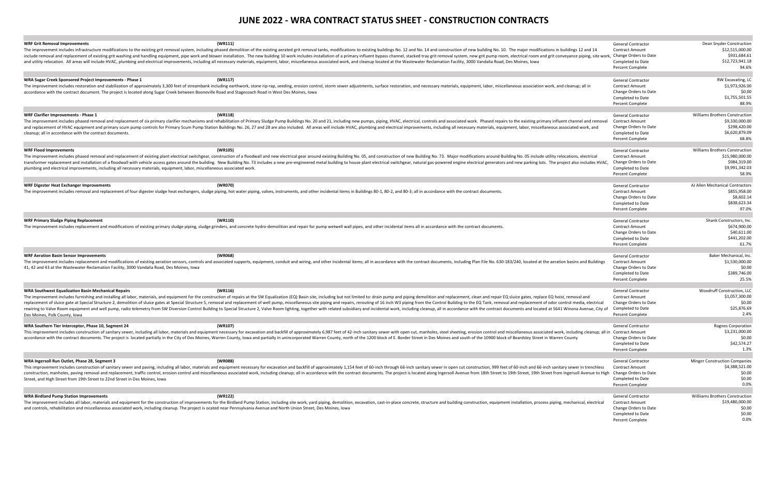### **WRA Sugar Creek Sponsored Project Improvements - Phase 1 <b>(WR117)** General Contractor RW Excavation RW Excavation RW Excavation RW Excavation RW Excavation RW Excavation RW Excavation RW Excavation RW Excavation RW Excava

| <b>WRF Grit Removal Improvements</b><br>(WR111)                                                                                                                                                                                | <b>General Contractor</b>             | Dean Snyder Construction              |
|--------------------------------------------------------------------------------------------------------------------------------------------------------------------------------------------------------------------------------|---------------------------------------|---------------------------------------|
| The improvement includes infrastructure modifications to the existing grit removal system, including phased demolition of the existing arrated grit removal sastem and the existing arrated grit removal tanks, modifications  | <b>Contract Amount</b>                | \$12,515,000.00                       |
| include removal and replacement of existing grit washing and handling equipment, pipe work and blower installation. The new building 10 work includes installation of a primary influent bypass channel, stacked tray grit rem | , Change Orders to Date               | \$931,684.61                          |
| and utility relocation. All areas will include HVAC, plumbing and electrical improvements, including all necessary materials, equipment, labor, miscellaneous associated work, and cleanup located at the Wastewater Reclamati | Completed to Date                     | \$12,723,941.18                       |
|                                                                                                                                                                                                                                | <b>Percent Complete</b>               | 94.6%                                 |
|                                                                                                                                                                                                                                |                                       |                                       |
| WRA Sugar Creek Sponsored Project Improvements - Phase 1<br>(WR117)                                                                                                                                                            | General Contracto                     | RW Excavating, LC                     |
| The improvement includes restoration and stabilization of approximately 3,300 feet of streambank including earthwork, stone rip-rap, seeding, erosion control, storm sewer adjustments, surface restoration, and necessary mat | <b>Contract Amount</b>                | \$1,973,926.00                        |
| accordance with the contract document. The project is located along Sugar Creek between Booneville Road and Stagecoach Road in West Des Moines, Iowa                                                                           | Change Orders to Date                 | \$0.00                                |
|                                                                                                                                                                                                                                | Completed to Date                     | \$1,755,501.55                        |
|                                                                                                                                                                                                                                | <b>Percent Complete</b>               | 88.9%                                 |
|                                                                                                                                                                                                                                |                                       |                                       |
| WRF Clarifier Improvements - Phase 1<br>(WR118)                                                                                                                                                                                | <b>General Contractor</b>             | <b>Williams Brothers Construction</b> |
| The improvement includes phased removal and replacement of six primary clarifier mechanisms and rehabilitation of Primary Sludge Pump Buildings No. 20 and 21, including new pumps, piping, HVAC, electrical, controls and ass | <b>Contract Amount</b>                | \$9,330,000.00                        |
| and replacement of HVAC equipment and primary scum pump controls for Primary Scum Pump Station Buildings No. 26, 27 and 28 are also included. All areas will include HVAC, plumbing and electrical improvements, including all | Change Orders to Date                 | \$298,420.00                          |
| cleanup; all in accordance with the contract documents.                                                                                                                                                                        | Completed to Date                     | \$6,620,879.09                        |
|                                                                                                                                                                                                                                | <b>Percent Complete</b>               | 68.8%                                 |
|                                                                                                                                                                                                                                |                                       |                                       |
| (WR105)<br><b>WRF Flood Improvements</b>                                                                                                                                                                                       | General Contractor                    | Williams Brothers Construction        |
| The improvement includes phased removal and replacement of existing plant electrical switchgear, construction of a floodwall and new electrical gear around existing Building No. 05, and construction of new Building No. 73. | <b>Contract Amount</b>                | \$15,980,000.00                       |
| transformer replacement and installation of a floodwall with vehicle access gates around the building. New Building. New Building No. 73 includes a new pre-engineered metal building to house plant electrical switchgear, na | Change Orders to Date                 | \$984,319.00                          |
| plumbing and electrical improvements, including all necessary materials, equipment, labor, miscellaneous associated work.                                                                                                      | Completed to Date                     | \$9,991,342.03                        |
|                                                                                                                                                                                                                                | <b>Percent Complete</b>               | 58.9%                                 |
|                                                                                                                                                                                                                                |                                       |                                       |
| (WR070)<br>WRF Digester Heat Exchanger Improvements                                                                                                                                                                            | <b>General Contractor</b>             | AJ Allen Mechanical Contractors       |
| The improvement includes removal and replacement of four digester sludge heat exchangers, sludge piping, hot water piping, valves, instruments, and other incidental items in Buildings 80-1, 80-2, and 80-3; all in accordanc | <b>Contract Amount</b>                | \$855,958.00                          |
|                                                                                                                                                                                                                                | Change Orders to Date                 | \$8,602.14                            |
|                                                                                                                                                                                                                                |                                       | \$838,623.34                          |
|                                                                                                                                                                                                                                | Completed to Date                     | 97.0%                                 |
|                                                                                                                                                                                                                                | <b>Percent Complete</b>               |                                       |
| <b>WRF Primary Sludge Piping Replacement</b><br>(WR110)                                                                                                                                                                        | <b>General Contractor</b>             | Shank Constructors, Inc.              |
| The improvement includes replacement and modifications of existing primary sludge piping, sludge grinders, and concrete hydro-demolition and repair for pump wetwell wall pipes, and other incidental items all in accordance  | <b>Contract Amount</b>                | \$674,900.00                          |
|                                                                                                                                                                                                                                | Change Orders to Date                 | \$40,611.00                           |
|                                                                                                                                                                                                                                | Completed to Date                     | \$441,202.00                          |
|                                                                                                                                                                                                                                | <b>Percent Complete</b>               | 61.7%                                 |
|                                                                                                                                                                                                                                |                                       |                                       |
| (WR068)<br><b>WRF Aeration Basin Sensor Improvements</b>                                                                                                                                                                       | <b>General Contractor</b>             | Baker Mechanical, Inc.                |
| The improvement includes replacement and modifications of existing aeration sensors, controls and associated supports, equipment, conduit and wiring, and other incidental items; all in accordance with the contract document | <b>Contract Amount</b>                | \$1,530,000.00                        |
| 41, 42 and 43 at the Wastewater Reclamation Facility, 3000 Vandalia Road, Des Moines, Iowa                                                                                                                                     | Change Orders to Date                 | \$0.00                                |
|                                                                                                                                                                                                                                | Completed to Date                     | \$389,746.00                          |
|                                                                                                                                                                                                                                | <b>Percent Complete</b>               | 25.5%                                 |
|                                                                                                                                                                                                                                |                                       |                                       |
| WRA Southwest Equalization Basin Mechanical Repairs<br>(WR116)                                                                                                                                                                 | <b>General Contractor</b>             | Woodruff Construction, LLC            |
| The improvement includes furnishing and installing all labor, materials, and equipment for the construction of repairs at the SW Equalization (EQ) Basin site, including but not limited to: drain pump and piping demolition  | <b>Contract Amount</b>                | \$1,057,300.00                        |
| replacement of sluice gate at Special Structure 2, demolition of sluice gates at Special Structure 5, removal and replacement of well pump, miscellaneous site piping and repairs, rerouting of 16 inch W3 piping from the Con | Change Orders to Date                 | \$0.00                                |
| rewiring to Valve Room equipment and well pump, radio telemetry from SW Diversion Control Building to Special Structure 2, Valve Room lighting, together with related subsidiary and incidental work, including cleanup, all i | Completed to Date                     | \$25,876.69                           |
|                                                                                                                                                                                                                                | <b>Percent Complete</b>               | 2.4%                                  |
| Des Moines, Polk County, Iowa                                                                                                                                                                                                  |                                       |                                       |
| WRA Southern Tier Interceptor, Phase 10, Segment 24<br>(WR107)                                                                                                                                                                 | <b>General Contractor</b>             | <b>Rognes Corporation</b>             |
| This improvement includes construction of sanitary sewer, including all labor, materials and equipment necessary for excavation and backfill of approximately 6,987 feet of 42-inch sanitary sewer with open cut, manholes, st |                                       | \$3,231,000.00                        |
| accordance with the contract documents. The project is located partially in the City of Des Moines, Warren County, lowa and partially in unincorporated Warren County, north of the 1200 block of E. Border Street in Des Moin | Change Orders to Date                 | \$0.00                                |
|                                                                                                                                                                                                                                | Completed to Date                     | \$42,574.27                           |
|                                                                                                                                                                                                                                | <b>Percent Complete</b>               | 1.3%                                  |
|                                                                                                                                                                                                                                |                                       |                                       |
| WRA Ingersoll Run Outlet, Phase 28, Segment 3<br>(WR088)                                                                                                                                                                       | <b>General Contractor</b>             | <b>Minger Construction Companies</b>  |
| This improvement includes construction of sanitary sewer and paving, including all labor, materials and equipment necessary for excavation and backfill of approximately 1,154 feet of 60-inch sanitary sewer in open cut cons | <b>Contract Amount</b>                | \$4,388,521.00                        |
| construction, manholes, paving removal and replacement, traffic control, erosion control and miscellaneous associated work, including cleanup; all in accordance with the contract documents. The project is located along Ing |                                       | \$0.00                                |
| Street, and High Street from 19th Street to 22nd Street in Des Moines, Iowa                                                                                                                                                    | Completed to Date                     | \$0.00                                |
|                                                                                                                                                                                                                                | <b>Percent Complete</b>               | 0.0%                                  |
|                                                                                                                                                                                                                                |                                       |                                       |
| (WR122)<br><b>WRA Birdland Pump Station Improvements</b>                                                                                                                                                                       | General Contractor                    | <b>Williams Brothers Construction</b> |
| The improvement includes all labor, materials and equipment for the construction of improvements for the Birdland Pump Station, including site work, yard piping, demolition, excavation, cast-in-place concrete, structure an | <b>Contract Amount</b>                | \$19,480,000.00                       |
| and controls, rehabilitation and miscellaneous associated work, including cleanup. The project is ocated near Pennsylvania Avenue and North Union Street, Des Moines, Iowa                                                     | Change Orders to Date                 | \$0.00                                |
|                                                                                                                                                                                                                                |                                       | \$0.00                                |
|                                                                                                                                                                                                                                | Completed to Date<br>Percent Complete | 0.0%                                  |
|                                                                                                                                                                                                                                |                                       |                                       |

### **WRF Digester Heat Exchanger Improvements Contractor AJ Allen Mechanical Contractor** AJ Allen Mechanical Contractors **(WR070)**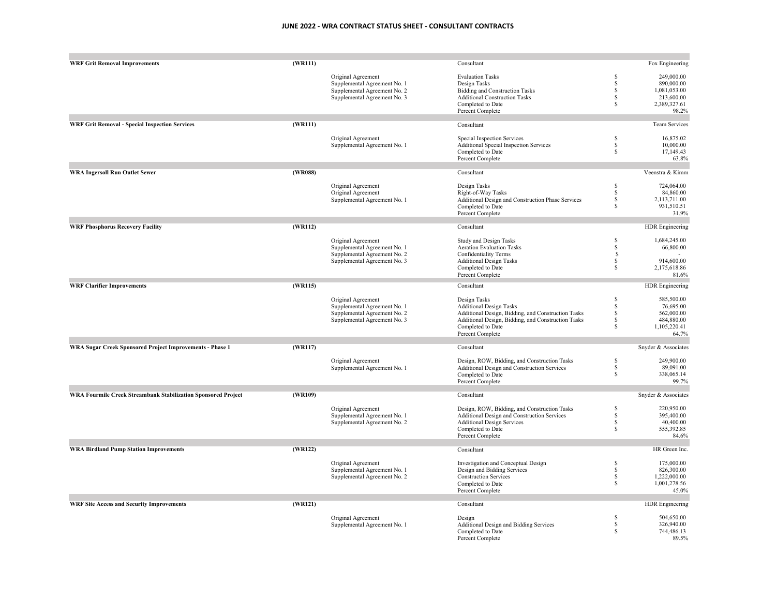| <b>WRF Grit Removal Improvements</b>                          | (WR111) |                              | Consultant                                         |                   | Fox Engineering        |
|---------------------------------------------------------------|---------|------------------------------|----------------------------------------------------|-------------------|------------------------|
|                                                               |         |                              | <b>Evaluation Tasks</b>                            | $\mathbf S$       | 249,000.00             |
|                                                               |         | Original Agreement           |                                                    | $\mathbf{s}$      |                        |
|                                                               |         | Supplemental Agreement No. 1 | Design Tasks                                       |                   | 890,000.00             |
|                                                               |         | Supplemental Agreement No. 2 | <b>Bidding and Construction Tasks</b>              | \$                | 1,081,053.00           |
|                                                               |         | Supplemental Agreement No. 3 | <b>Additional Construction Tasks</b>               | \$                | 213,600.00             |
|                                                               |         |                              | Completed to Date                                  | \$                | 2,389,327.61           |
|                                                               |         |                              | Percent Complete                                   |                   | 98.2%                  |
| <b>WRF Grit Removal - Special Inspection Services</b>         | (WR111) |                              | Consultant                                         |                   | <b>Team Services</b>   |
|                                                               |         | Original Agreement           | Special Inspection Services                        | \$                | 16,875.02              |
|                                                               |         | Supplemental Agreement No. 1 | Additional Special Inspection Services             | \$                | 10,000.00              |
|                                                               |         |                              | Completed to Date                                  | \$                | 17,149.43              |
|                                                               |         |                              | Percent Complete                                   |                   | 63.8%                  |
| <b>WRA Ingersoll Run Outlet Sewer</b>                         | (WR088) |                              | Consultant                                         |                   | Veenstra & Kimm        |
|                                                               |         |                              |                                                    |                   |                        |
|                                                               |         | Original Agreement           | Design Tasks                                       | \$                | 724,064.00             |
|                                                               |         | Original Agreement           | Right-of-Way Tasks                                 | \$                | 84,860.00              |
|                                                               |         | Supplemental Agreement No. 1 | Additional Design and Construction Phase Services  | \$                | 2,113,711.00           |
|                                                               |         |                              | Completed to Date                                  | \$                | 931,510.51             |
|                                                               |         |                              | Percent Complete                                   |                   | 31.9%                  |
| <b>WRF Phosphorus Recovery Facility</b>                       | (WR112) |                              | Consultant                                         |                   | <b>HDR</b> Engineering |
|                                                               |         | Original Agreement           | <b>Study and Design Tasks</b>                      | $\mathbf S$       | 1,684,245.00           |
|                                                               |         | Supplemental Agreement No. 1 | <b>Aeration Evaluation Tasks</b>                   | \$                | 66,800.00              |
|                                                               |         |                              |                                                    | \$                |                        |
|                                                               |         | Supplemental Agreement No. 2 | Confidentiality Terms                              |                   |                        |
|                                                               |         | Supplemental Agreement No. 3 | <b>Additional Design Tasks</b>                     | \$                | 914,600.00             |
|                                                               |         |                              | Completed to Date                                  | \$                | 2,175,618.86           |
|                                                               |         |                              | Percent Complete                                   |                   | 81.6%                  |
| <b>WRF Clarifier Improvements</b>                             | (WR115) |                              | Consultant                                         |                   | HDR Engineering        |
|                                                               |         | Original Agreement           | Design Tasks                                       | \$                | 585,500.00             |
|                                                               |         | Supplemental Agreement No. 1 | <b>Additional Design Tasks</b>                     | \$                | 76,695.00              |
|                                                               |         | Supplemental Agreement No. 2 | Additional Design, Bidding, and Construction Tasks | \$                | 562,000.00             |
|                                                               |         | Supplemental Agreement No. 3 | Additional Design, Bidding, and Construction Tasks | \$                | 484,880.00             |
|                                                               |         |                              | Completed to Date                                  | \$                | 1,105,220.41           |
|                                                               |         |                              | Percent Complete                                   |                   | 64.7%                  |
|                                                               |         |                              |                                                    |                   |                        |
| WRA Sugar Creek Sponsored Project Improvements - Phase 1      | (WR117) |                              | Consultant                                         |                   | Snyder & Associates    |
|                                                               |         | Original Agreement           | Design, ROW, Bidding, and Construction Tasks       | \$                | 249,900.00             |
|                                                               |         | Supplemental Agreement No. 1 | Additional Design and Construction Services        | \$                | 89,091.00              |
|                                                               |         |                              | Completed to Date                                  | \$                | 338,065.14             |
|                                                               |         |                              |                                                    |                   |                        |
|                                                               |         |                              | Percent Complete                                   |                   | 99.7%                  |
| WRA Fourmile Creek Streambank Stabilization Sponsored Project | (WR109) |                              | Consultant                                         |                   | Snyder & Associates    |
|                                                               |         | Original Agreement           | Design, ROW, Bidding, and Construction Tasks       | \$                | 220,950.00             |
|                                                               |         | Supplemental Agreement No. 1 | Additional Design and Construction Services        | \$                | 395,400.00             |
|                                                               |         | Supplemental Agreement No. 2 | <b>Additional Design Services</b>                  | \$                | 40,400.00              |
|                                                               |         |                              | Completed to Date                                  | \$                | 555,392.85             |
|                                                               |         |                              | Percent Complete                                   |                   | 84.6%                  |
| <b>WRA Birdland Pump Station Improvements</b>                 | (WR122) |                              | Consultant                                         |                   | HR Green Inc.          |
|                                                               |         |                              |                                                    |                   | 175,000.00             |
|                                                               |         | Original Agreement           | Investigation and Conceptual Design                | \$<br>$\mathbf S$ |                        |
|                                                               |         | Supplemental Agreement No. 1 | Design and Bidding Services                        |                   | 826,300.00             |
|                                                               |         | Supplemental Agreement No. 2 | <b>Construction Services</b>                       | \$                | 1,222,000.00           |
|                                                               |         |                              | Completed to Date<br>Percent Complete              | \$                | 1,001,278.56<br>45.0%  |
| <b>WRF Site Access and Security Improvements</b>              | (WR121) |                              | Consultant                                         |                   | HDR Engineering        |
|                                                               |         |                              |                                                    |                   |                        |
|                                                               |         | Original Agreement           | Design                                             | \$                | 504,650.00             |
|                                                               |         | Supplemental Agreement No. 1 | Additional Design and Bidding Services             | \$                | 326,940.00             |
|                                                               |         |                              | Completed to Date                                  | \$                | 744,486.13             |
|                                                               |         |                              | Percent Complete                                   |                   | 89.5%                  |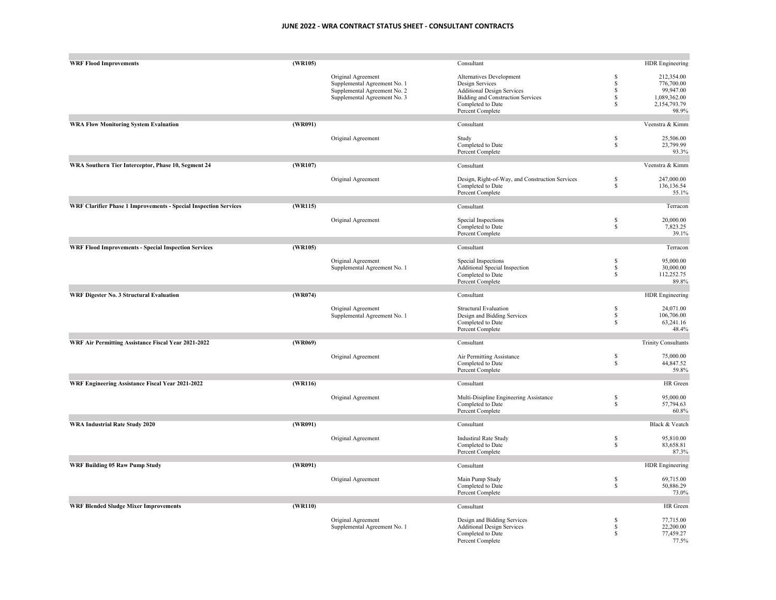| <b>WRF Flood Improvements</b>                                           | (WR105) |                              | Consultant                                      |                                 | <b>HDR</b> Engineering     |
|-------------------------------------------------------------------------|---------|------------------------------|-------------------------------------------------|---------------------------------|----------------------------|
|                                                                         |         |                              |                                                 | S                               | 212,354.00                 |
|                                                                         |         | Original Agreement           | Alternatives Development                        | $\mathbf S$                     |                            |
|                                                                         |         | Supplemental Agreement No. 1 | Design Services                                 |                                 | 776,700.00                 |
|                                                                         |         | Supplemental Agreement No. 2 | <b>Additional Design Services</b>               | \$                              | 99,947.00                  |
|                                                                         |         | Supplemental Agreement No. 3 | <b>Bidding and Construction Services</b>        | \$                              | 1,089,362.00               |
|                                                                         |         |                              | Completed to Date                               | $\mathbb{S}$                    | 2,154,793.79               |
|                                                                         |         |                              | Percent Complete                                |                                 | 98.9%                      |
| <b>WRA Flow Monitoring System Evaluation</b>                            | (WR091) |                              | Consultant                                      |                                 | Veenstra & Kimm            |
|                                                                         |         | Original Agreement           | Study                                           | \$                              | 25,506.00                  |
|                                                                         |         |                              | Completed to Date                               | $\mathbb{S}$                    | 23,799.99                  |
|                                                                         |         |                              | Percent Complete                                |                                 | 93.3%                      |
| WRA Southern Tier Interceptor, Phase 10, Segment 24                     | (WR107) |                              | Consultant                                      |                                 | Veenstra & Kimm            |
|                                                                         |         |                              |                                                 |                                 |                            |
|                                                                         |         | Original Agreement           | Design, Right-of-Way, and Construction Services | $\mathbb{S}$                    | 247,000.00                 |
|                                                                         |         |                              | Completed to Date                               | $\mathbb{S}$                    | 136,136.54                 |
|                                                                         |         |                              | Percent Complete                                |                                 | 55.1%                      |
|                                                                         |         |                              |                                                 |                                 |                            |
| <b>WRF Clarifier Phase 1 Improvements - Special Inspection Services</b> | (WR115) |                              | Consultant                                      |                                 | Terracon                   |
|                                                                         |         | Original Agreement           | Special Inspections                             | \$                              | 20,000.00                  |
|                                                                         |         |                              | Completed to Date                               | $\mathbb{S}$                    | 7,823.25                   |
|                                                                         |         |                              | Percent Complete                                |                                 | 39.1%                      |
|                                                                         |         |                              |                                                 |                                 |                            |
| <b>WRF Flood Improvements - Special Inspection Services</b>             | (WR105) |                              | Consultant                                      |                                 | Terracon                   |
|                                                                         |         | Original Agreement           | Special Inspections                             | \$                              | 95,000.00                  |
|                                                                         |         |                              |                                                 | $\mathbb{S}$                    | 30,000.00                  |
|                                                                         |         | Supplemental Agreement No. 1 | Additional Special Inspection                   | $\mathbb{S}$                    | 112,252.75                 |
|                                                                         |         |                              | Completed to Date                               |                                 |                            |
|                                                                         |         |                              | Percent Complete                                |                                 | 89.8%                      |
| WRF Digester No. 3 Structural Evaluation                                | (WR074) |                              | Consultant                                      |                                 | HDR Engineering            |
|                                                                         |         | Original Agreement           | <b>Structural Evaluation</b>                    | \$                              | 24,071.00                  |
|                                                                         |         |                              |                                                 | \$                              |                            |
|                                                                         |         | Supplemental Agreement No. 1 | Design and Bidding Services                     |                                 | 106,706.00                 |
|                                                                         |         |                              | Completed to Date                               | \$                              | 63,241.16                  |
|                                                                         |         |                              | Percent Complete                                |                                 | 48.4%                      |
| WRF Air Permitting Assistance Fiscal Year 2021-2022                     | (WR069) |                              | Consultant                                      |                                 | <b>Trinity Consultants</b> |
|                                                                         |         | Original Agreement           | Air Permitting Assistance                       |                                 | 75,000.00                  |
|                                                                         |         |                              |                                                 | $\frac{\mathbb{S}}{\mathbb{S}}$ | 44,847.52                  |
|                                                                         |         |                              | Completed to Date<br>Percent Complete           |                                 | 59.8%                      |
|                                                                         |         |                              |                                                 |                                 |                            |
| WRF Engineering Assistance Fiscal Year 2021-2022                        | (WR116) |                              | Consultant                                      |                                 | HR Green                   |
|                                                                         |         | Original Agreement           | Multi-Disipline Engineering Assistance          | \$                              | 95,000.00                  |
|                                                                         |         |                              | Completed to Date                               | \$                              | 57,794.63                  |
|                                                                         |         |                              | Percent Complete                                |                                 | 60.8%                      |
|                                                                         |         |                              |                                                 |                                 |                            |
| <b>WRA Industrial Rate Study 2020</b>                                   | (WR091) |                              | Consultant                                      |                                 | Black & Veatch             |
|                                                                         |         | Original Agreement           | <b>Industiral Rate Study</b>                    | \$                              | 95,810.00                  |
|                                                                         |         |                              | Completed to Date                               | \$                              | 83,658.81                  |
|                                                                         |         |                              | Percent Complete                                |                                 | 87.3%                      |
|                                                                         |         |                              |                                                 |                                 |                            |
| <b>WRF Building 05 Raw Pump Study</b>                                   | (WR091) |                              | Consultant                                      |                                 | HDR Engineering            |
|                                                                         |         | Original Agreement           | Main Pump Study                                 | \$                              | 69,715.00                  |
|                                                                         |         |                              | Completed to Date                               | \$                              | 50,886.29                  |
|                                                                         |         |                              | Percent Complete                                |                                 | 73.0%                      |
| <b>WRF Blended Sludge Mixer Improvements</b>                            | (WR110) |                              | Consultant                                      |                                 | HR Green                   |
|                                                                         |         |                              |                                                 |                                 |                            |
|                                                                         |         | Original Agreement           | Design and Bidding Services                     | \$                              | 77,715.00                  |
|                                                                         |         | Supplemental Agreement No. 1 | <b>Additional Design Services</b>               | $\mathbb{S}$                    | 22,200.00                  |
|                                                                         |         |                              | Completed to Date                               | $\mathbb{S}$                    | 77,459.27                  |
|                                                                         |         |                              | Percent Complete                                |                                 | 77.5%                      |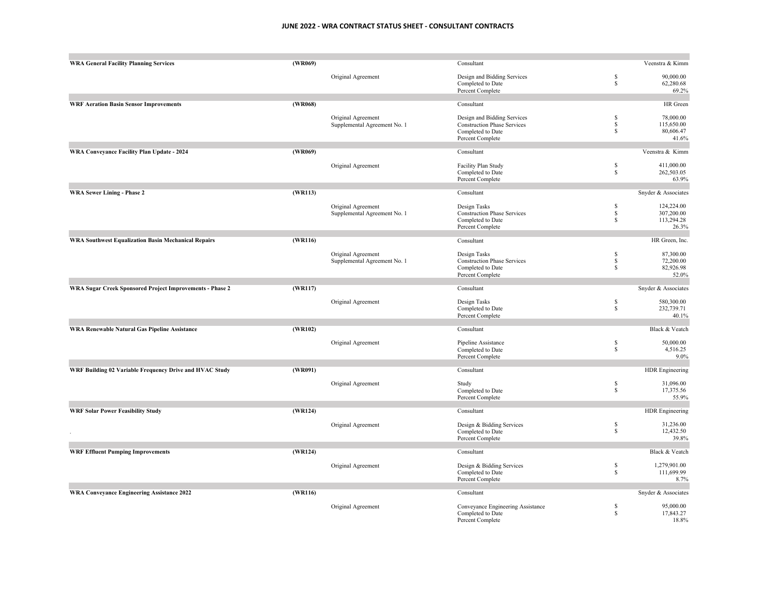| <b>WRA General Facility Planning Services</b>              | (WR069) |                              | Consultant                                       |                              | Veenstra & Kimm         |
|------------------------------------------------------------|---------|------------------------------|--------------------------------------------------|------------------------------|-------------------------|
|                                                            |         | Original Agreement           | Design and Bidding Services<br>Completed to Date | \$<br>$\mathbb{S}$           | 90,000.00<br>62,280.68  |
|                                                            |         |                              | Percent Complete                                 |                              | 69.2%                   |
| <b>WRF Aeration Basin Sensor Improvements</b>              | (WR068) |                              | Consultant                                       |                              | HR Green                |
|                                                            |         | Original Agreement           | Design and Bidding Services                      | \$                           | 78,000.00               |
|                                                            |         | Supplemental Agreement No. 1 | <b>Construction Phase Services</b>               | $\mathbb{S}$<br>$\mathbb{S}$ | 115,650.00<br>80,606.47 |
|                                                            |         |                              | Completed to Date<br>Percent Complete            |                              | 41.6%                   |
| WRA Conveyance Facility Plan Update - 2024                 | (WR069) |                              | Consultant                                       |                              | Veenstra & Kimm         |
|                                                            |         | Original Agreement           | Facility Plan Study                              | \$                           | 411,000.00              |
|                                                            |         |                              | Completed to Date                                | \$                           | 262,503.05              |
|                                                            |         |                              | Percent Complete                                 |                              | 63.9%                   |
| <b>WRA Sewer Lining - Phase 2</b>                          | (WR113) |                              | Consultant                                       |                              | Snyder & Associates     |
|                                                            |         | Original Agreement           | Design Tasks                                     | $\mathbb{S}$                 | 124,224.00              |
|                                                            |         | Supplemental Agreement No. 1 | <b>Construction Phase Services</b>               | \$                           | 307,200.00              |
|                                                            |         |                              | Completed to Date<br>Percent Complete            | \$                           | 113,294.28<br>26.3%     |
|                                                            |         |                              |                                                  |                              |                         |
| <b>WRA Southwest Equalization Basin Mechanical Repairs</b> | (WR116) |                              | Consultant                                       |                              | HR Green, Inc.          |
|                                                            |         | Original Agreement           | Design Tasks                                     | \$                           | 87,300.00               |
|                                                            |         | Supplemental Agreement No. 1 | <b>Construction Phase Services</b>               | $\mathbb{S}$                 | 72,200.00               |
|                                                            |         |                              | Completed to Date                                | $\mathbb{S}$                 | 82,926.98               |
|                                                            |         |                              | Percent Complete                                 |                              | 52.0%                   |
| WRA Sugar Creek Sponsored Project Improvements - Phase 2   | (WR117) |                              | Consultant                                       |                              | Snyder & Associates     |
|                                                            |         | Original Agreement           | Design Tasks                                     | \$                           | 580,300.00              |
|                                                            |         |                              | Completed to Date                                | $\mathbb{S}$                 | 232,739.71              |
|                                                            |         |                              | Percent Complete                                 |                              | 40.1%                   |
| <b>WRA Renewable Natural Gas Pipeline Assistance</b>       | (WR102) |                              | Consultant                                       |                              | Black & Veatch          |
|                                                            |         | Original Agreement           | Pipeline Assistance                              | \$                           | 50,000.00               |
|                                                            |         |                              | Completed to Date                                | $\mathbb{S}$                 | 4,516.25                |
|                                                            |         |                              | Percent Complete                                 |                              | 9.0%                    |
| WRF Building 02 Variable Frequency Drive and HVAC Study    | (WR091) |                              | Consultant                                       |                              | HDR Engineering         |
|                                                            |         | Original Agreement           | Study                                            | \$                           | 31,096.00               |
|                                                            |         |                              | Completed to Date<br>Percent Complete            | $\mathbb{S}$                 | 17,375.56<br>55.9%      |
|                                                            |         |                              |                                                  |                              |                         |
| <b>WRF Solar Power Feasibility Study</b>                   | (WR124) |                              | Consultant                                       |                              | HDR Engineering         |
|                                                            |         | Original Agreement           | Design & Bidding Services                        | \$                           | 31,236.00               |
|                                                            |         |                              | Completed to Date                                | $\mathbb{S}$                 | 12,432.50               |
|                                                            |         |                              | Percent Complete                                 |                              | 39.8%                   |
| <b>WRF Effluent Pumping Improvements</b>                   | (WR124) |                              | Consultant                                       |                              | Black & Veatch          |
|                                                            |         | Original Agreement           | Design & Bidding Services                        | \$                           | 1,279,901.00            |
|                                                            |         |                              | Completed to Date                                | \$                           | 111,699.99              |
|                                                            |         |                              | Percent Complete                                 |                              | 8.7%                    |
| WRA Conveyance Engineering Assistance 2022                 | (WR116) |                              | Consultant                                       |                              | Snyder & Associates     |
|                                                            |         | Original Agreement           | Conveyance Engineering Assistance                | \$                           | 95,000.00               |
|                                                            |         |                              | Completed to Date<br>Percent Complete            | $\mathbb{S}$                 | 17,843.27<br>18.8%      |